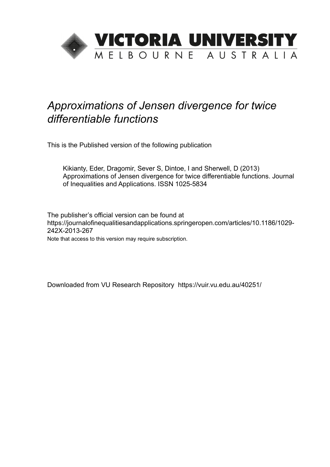

## *Approximations of Jensen divergence for twice differentiable functions*

This is the Published version of the following publication

Kikianty, Eder, Dragomir, Sever S, Dintoe, I and Sherwell, D (2013) Approximations of Jensen divergence for twice differentiable functions. Journal of Inequalities and Applications. ISSN 1025-5834

The publisher's official version can be found at https://journalofinequalitiesandapplications.springeropen.com/articles/10.1186/1029- 242X-2013-267 Note that access to this version may require subscription.

Downloaded from VU Research Repository https://vuir.vu.edu.au/40251/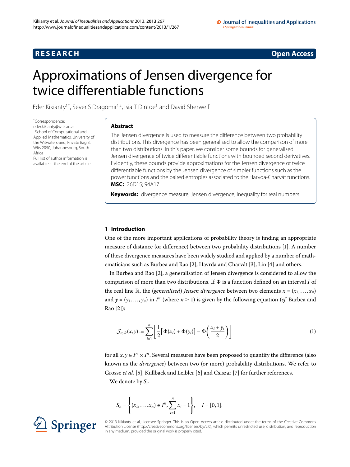### **R E S E A R C H Open Access**

# <span id="page-1-0"></span>Approximations of Jensen divergence for twice differentiable functions

Eder Kikianty<sup>1[\\*](#page-1-0)</sup>, Sever S Dragomir<sup>[1](#page-12-0)[,2](#page-12-1)</sup>, Isia T Dintoe<sup>1</sup> and David Sherwell<sup>1</sup>

\* Correspondence: [eder.kikianty@wits.ac.za](mailto:eder.kikianty@wits.ac.za) 1School of Computational and Applied Mathematics, University of the Witwatersrand, Private Bag 3, Wits 2050, Johannesburg, South Africa Full list of author information is available at the end of the article

### **Abstract**

The Jensen divergence is used to measure the difference between two probability distributions. This divergence has been generalised to allow the comparison of more than two distributions. In this paper, we consider some bounds for generalised Jensen divergence of twice differentiable functions with bounded second derivatives. Evidently, these bounds provide approximations for the Jensen divergence of twice differentiable functions by the Jensen divergence of simpler functions such as the power functions and the paired entropies associated to the Harvda-Charvát functions. **MSC:** 26D15; 94A17

**Keywords:** divergence measure; Jensen divergence; inequality for real numbers

#### **1 Introduction**

One of the more important applications of probability theory is finding an appropriate measure of distance (or difference) between two probability distributions [[\]](#page-12-2). A number of these divergence measures have been widely studied and applied by a number of math-ematicians such as Burbea and Rao [\[](#page-12-3)2[\]](#page-12-5), Havrda and Charvát [3], Lin [4] and others.

In Burbea and Rao [\[](#page-12-3)], a generalisation of Jensen divergence is considered to allow the comparison of more than two distributions. If  $\Phi$  is a function defined on an interval *I* of the real line  $\mathbb{R}$ , the *(generalised) Jensen divergence* between two elements  $x = (x_1, \ldots, x_n)$ and  $y = (y_1, \ldots, y_n)$  in  $I^n$  (where  $n \ge 1$ ) is given by the following equation (*cf.* Burbea and Rao [2[\]](#page-12-3)):

<span id="page-1-1"></span>
$$
\mathcal{J}_{n,\Phi}(x,y) := \sum_{i=1}^{n} \left[ \frac{1}{2} \left[ \Phi(x_i) + \Phi(y_i) \right] - \Phi\left(\frac{x_i + y_i}{2}\right) \right] \tag{1}
$$

for all  $x, y \in I^n \times I^n$ . Several measures have been proposed to quantify the difference (also known as the *divergence*) between two (or more) probability distributions. We refer to Grosse et al. [\[](#page-12-8)5], Kullback and Leibler [6] and Csiszar [7] for further references.

We denote by *Sn*

$$
S_n = \left\{ (x_1, \ldots, x_n) \in I^n, \sum_{i=1}^n x_i = 1 \right\}, \quad I = [0, 1].
$$



© 2013 Kikianty et al.; licensee Springer. This is an Open Access article distributed under the terms of the Creative Commons Attribution License [\(http://creativecommons.org/licenses/by/2.0](http://creativecommons.org/licenses/by/2.0)), which permits unrestricted use, distribution, and reproduction in any medium, provided the original work is properly cited.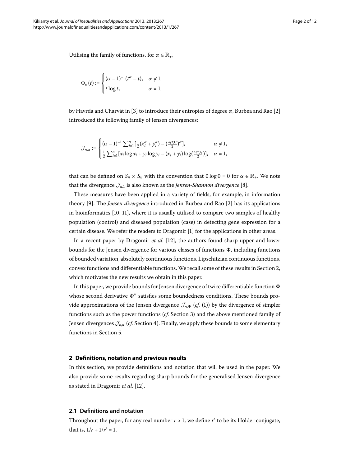Utilising the family of functions, for  $\alpha \in \mathbb{R}_+$ ,

$$
\Phi_{\alpha}(t) := \begin{cases}\n(\alpha - 1)^{-1}(t^{\alpha} - t), & \alpha \neq 1, \\
t \log t, & \alpha = 1,\n\end{cases}
$$

by Havrda and Charvát in [\[](#page-12-3)3] to introduce their entropies of degree  $\alpha$ , Burbea and Rao [2] introduced the following family of Jensen divergences:

$$
\mathcal{J}_{n,\alpha} := \begin{cases} (\alpha - 1)^{-1} \sum_{i=1}^{n} [\frac{1}{2} (x_i^{\alpha} + y_i^{\alpha}) - (\frac{x_i + y_i}{2})^{\alpha}], & \alpha \neq 1, \\ \frac{1}{2} \sum_{i=1}^{n} [x_i \log x_i + y_i \log y_i - (x_i + y_i) \log(\frac{x_i + y_i}{2})], & \alpha = 1, \end{cases}
$$

that can be defined on  $S_n \times S_n$  with the convention that  $0 \log 0 = 0$  for  $\alpha \in \mathbb{R}_+$ . We note that the divergence  $\mathcal{J}_{n,1}$  is also known as the *Jensen-Shannon divergence* [8[\]](#page-12-9).

These measures have been applied in a variety of fields, for example, in information theory [9[\]](#page-12-3). The *Jensen divergence* introduced in Burbea and Rao [2] has its applications in bioinformatics  $[10, 11]$ , where it is usually utilised to compare two samples of healthy population (control) and diseased population (case) in detecting gene expression for a certain disease. We refer the readers to Dragomir [[\]](#page-12-2) for the applications in other areas.

In a recent paper by Dragomir *et al.* [12[\]](#page-12-13), the authors found sharp upper and lower bounds for the Jensen divergence for various classes of functions  $\Phi$ , including functions of bounded variation, absolutely continuous functions, Lipschitzian continuous functions, convex functions and differentiable functions. We recall some of these results in Section 2[,](#page-2-0) which motivates the new results we obtain in this paper.

<span id="page-2-0"></span>In this paper, we provide bounds for Jensen divergence of twice differentiable function  $\Phi$ whose second derivative  $\Phi''$  satisfies some boundedness conditions. These bounds provide approximations of the Jensen divergence  $\mathcal{J}_{n,\Phi}$  (*cf.* (1[\)](#page-1-1)) by the divergence of simpler functions such as the power functions (cf. Section 3[\)](#page-4-0) and the above mentioned family of Jensen divergences  $\mathcal{J}_{n,\alpha}$  (*cf.* Section 4[\)](#page-7-0). Finally, we apply these bounds to some elementary functions in Section 5.

#### **2 Definitions, notation and previous results**

In this section, we provide definitions and notation that will be used in the paper. We also provide some results regarding sharp bounds for the generalised Jensen divergence as stated in Dragomir *et al.* [12[\]](#page-12-13).

#### **2.1 Definitions and notation**

Throughout the paper, for any real number  $r > 1$ , we define  $r'$  to be its Hölder conjugate, that is,  $1/r + 1/r' = 1$ .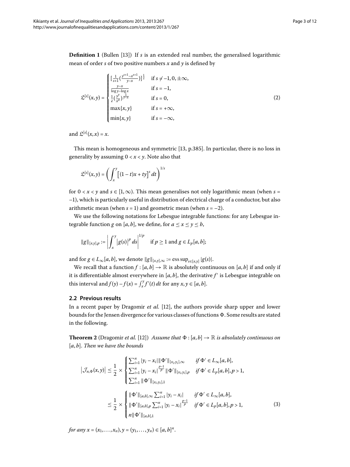**Definition 1** (Bullen [13]) If *s* is an extended real number, the generalised logarithmic mean of order *s* of two positive numbers *x* and *y* is defined by

$$
\mathfrak{L}^{[s]}(x,y) = \begin{cases}\n\left[\frac{1}{s+1}\left(\frac{y^{s+1}-x^{s+1}}{y-x}\right)\right]^{\frac{1}{s}} & \text{if } s \neq -1, 0, \pm \infty, \\
\frac{y-x}{\log y - \log x} & \text{if } s = -1, \\
\frac{1}{e}\left(\frac{y^y}{x^x}\right)^{\frac{1}{y-x}} & \text{if } s = 0, \\
\max\{x, y\} & \text{if } s = +\infty, \\
\min\{x, y\} & \text{if } s = -\infty,\n\end{cases}
$$
\n(2)

and  $\mathfrak{L}^{[s]}(x,x) = x$ .

This mean is homogeneous and symmetric [13[,](#page-12-14) p.385]. In particular, there is no loss in generality by assuming  $0 < x < y$ . Note also that

$$
\mathfrak{L}^{[s]}(x,y) = \left(\int_x^y \left[ (1-t)x + ty \right]^s dt \right)^{1/s}
$$

for  $0 < x < y$  and  $s \in [1, \infty)$ . This mean generalises not only logarithmic mean (when  $s =$ –), which is particularly useful in distribution of electrical charge of a conductor, but also arithmetic mean (when  $s = 1$ ) and geometric mean (when  $s = -2$ ).

We use the following notations for Lebesgue integrable functions: for any Lebesgue integrable function *g* on [*a*, *b*], we define, for  $a \le x \le y \le b$ ,

$$
||g||_{[x,y],p} := \left| \int_x^y |g(s)|^p ds \right|^{1/p}
$$
 if  $p \ge 1$  and  $g \in L_p[a, b];$ 

and for  $g \in L_{\infty}[a, b]$ , we denote  $||g||_{[x,y],\infty} := \text{ess sup}_{s \in [x,y]} |g(s)|$ .

We recall that a function  $f : [a, b] \to \mathbb{R}$  is absolutely continuous on  $[a, b]$  if and only if it is differentiable almost everywhere in  $[a, b]$ , the derivative  $f'$  is Lebesgue integrable on this interval and  $f(y) - f(x) = \int_x^y f'(t) dt$  for any  $x, y \in [a, b]$ .

#### **2.2 Previous results**

In a recent paper by Dragomir *et al.* [\[](#page-12-13)12], the authors provide sharp upper and lower bounds for the Jensen divergence for various classes of functions  $\Phi.$  Some results are stated in the following.

**Theorem 2** (Dragomir *et al.* [12[\]](#page-12-13)) Assume that  $\Phi$  : [a, b]  $\rightarrow \mathbb{R}$  is absolutely continuous on [*a*, *b*]. *Then we have the bounds*

$$
\left|\mathcal{J}_{n,\Phi}(x,y)\right| \leq \frac{1}{2} \times \begin{cases} \sum_{i=1}^{n} |y_i - x_i| \|\Phi'\|_{[x_i,y_i],\infty} & \text{if } \Phi' \in L_{\infty}[a,b],\\ \sum_{i=1}^{n} |y_i - x_i| \frac{p-1}{p} \|\Phi'\|_{[x_i,y_i],p} & \text{if } \Phi' \in L_p[a,b], p > 1, \end{cases}
$$
\n
$$
\leq \frac{1}{2} \times \begin{cases} \|\Phi'\|_{[a,b],\infty} \sum_{i=1}^{n} |y_i - x_i| & \text{if } \Phi' \in L_{\infty}[a,b],\\ \|\Phi'\|_{[a,b],p} \sum_{i=1}^{n} |y_i - x_i| \frac{p-1}{p} & \text{if } \Phi' \in L_p[a,b], p > 1, \end{cases} \tag{3}
$$

*for any*  $x = (x_1, ..., x_n), y = (y_1, ..., y_n) \in [a, b]^n$ .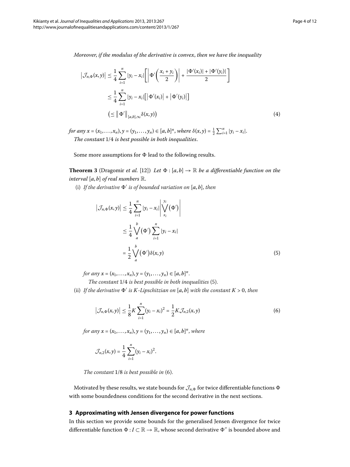*Moreover*, *if the modulus of the derivative is convex*, *then we have the inequality*

$$
\left| \mathcal{J}_{n,\Phi}(x,y) \right| \leq \frac{1}{4} \sum_{i=1}^{n} |y_i - x_i| \left[ \left| \Phi'\left(\frac{x_i + y_i}{2}\right) \right| + \frac{|\Phi'(x_i)| + |\Phi'(y_i)|}{2} \right]
$$
  

$$
\leq \frac{1}{4} \sum_{i=1}^{n} |y_i - x_i| \left[ \left| \Phi'(x_i) \right| + \left| \Phi'(y_i) \right| \right]
$$
  

$$
\left( \leq \left\| \Phi' \right\|_{[a,b],\infty} \delta(x,y) \right)
$$
 (4)

*for any*  $x = (x_1, ..., x_n), y = (y_1, ..., y_n) \in [a, b]^n$ , where  $\delta(x, y) = \frac{1}{2} \sum_{i=1}^n |y_i - x_i|$ . *The constant*  $1/4$  *is best possible in both inequalities.* 

Some more assumptions for  $\Phi$  lead to the following results.

**Theorem 3** (Dragomir *et al.* [\[](#page-12-13)12]) *Let*  $\Phi$  : [*a*, *b*]  $\rightarrow \mathbb{R}$  *be a differentiable function on the interval* [*a*, *b*] *of real numbers* R.

(i) If the derivative  $\Phi'$  is of bounded variation on  $[a, b]$ , then

<span id="page-4-1"></span>
$$
\left| \mathcal{J}_{n,\Phi}(x,y) \right| \leq \frac{1}{4} \sum_{i=1}^{n} |y_i - x_i| \left| \bigvee_{x_i}^{y_i} (\Phi') \right|
$$
  

$$
\leq \frac{1}{4} \bigvee_{a}^{b} (\Phi') \sum_{i=1}^{n} |y_i - x_i|
$$
  

$$
= \frac{1}{2} \bigvee_{a}^{b} (\Phi') \delta(x,y)
$$
 (5)

*for any*  $x = (x_1, ..., x_n), y = (y_1, ..., y_n) \in [a, b]^n$ .

*The constant*  $1/4$  *is best possible in both inequalities* (5[\)](#page-4-1).

(ii) If the derivative  $\Phi'$  is K-Lipschitzian on [a, b] with the constant  $K > 0$ , then

<span id="page-4-2"></span>
$$
\left|\mathcal{J}_{n,\Phi}(x,y)\right| \leq \frac{1}{8}K\sum_{i=1}^{n}(y_i - x_i)^2 = \frac{1}{2}K\mathcal{J}_{n,2}(x,y)
$$
\n(6)

*for any*  $x = (x_1, ..., x_n), y = (y_1, ..., y_n) \in [a, b]^n$ , where

$$
\mathcal{J}_{n,2}(x,y) = \frac{1}{4} \sum_{i=1}^{n} (y_i - x_i)^2.
$$

*The constant*  $1/8$  *is best possible in* [\(](#page-4-2)6).

<span id="page-4-0"></span>Motivated by these results, we state bounds for  $\mathcal{J}_{n,\Phi}$  for twice differentiable functions  $\Phi$ with some boundedness conditions for the second derivative in the next sections.

#### **3 Approximating with Jensen divergence for power functions**

In this section we provide some bounds for the generalised Jensen divergence for twice differentiable function  $\Phi : I \subset \mathbb{R} \to \mathbb{R}$ , whose second derivative  $\Phi''$  is bounded above and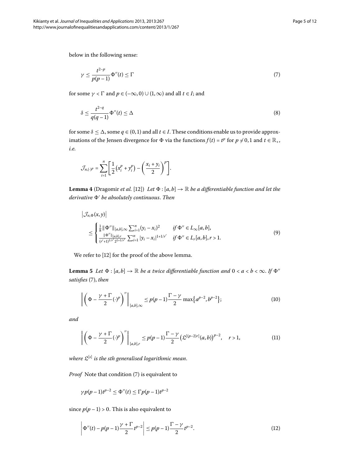below in the following sense:

<span id="page-5-6"></span><span id="page-5-0"></span>
$$
\gamma \le \frac{t^{2-p}}{p(p-1)} \Phi''(t) \le \Gamma \tag{7}
$$

for some  $\gamma < \Gamma$  and  $p \in (-\infty, 0) \cup (1, \infty)$  and all  $t \in I$ ; and

<span id="page-5-4"></span>
$$
\delta \le \frac{t^{2-q}}{q(q-1)} \Phi''(t) \le \Delta \tag{8}
$$

for some  $\delta \leq \Delta$ , some  $q \in (0,1)$  and all  $t \in I$ . These conditions enable us to provide approximations of the Jensen divergence for  $\Phi$  via the functions  $f(t) = t^p$  for  $p \neq 0, 1$  and  $t \in \mathbb{R}_+$ , *i.e.*

$$
\mathcal{J}_{n,(\cdot)^p} = \sum_{i=1}^n \left[ \frac{1}{2} \left( x_i^p + y_i^p \right) - \left( \frac{x_i + y_i}{2} \right)^p \right].
$$

**Lemma 4** (Dragomir *et al.* [\[](#page-12-13)12]) *Let*  $\Phi$  : [*a*, *b*]  $\rightarrow \mathbb{R}$  *be a differentiable function and let the derivative - be absolutely continuous*. *Then*

<span id="page-5-5"></span><span id="page-5-1"></span>
$$
\left|\mathcal{J}_{n,\Phi}(x,y)\right| \leq \begin{cases} \frac{1}{8} \|\Phi''\|_{[a,b],\infty} \sum_{i=1}^{n} (y_i - x_i)^2 & \text{if } \Phi'' \in L_{\infty}[a,b],\\ \frac{\|\Phi''\|_{[a,b],r}}{(r'+1)^{1/r'}2^{1+1/r'}} \sum_{i=1}^{n} |y_i - x_i|^{1+1/r'} & \text{if } \Phi'' \in L_r[a,b], r > 1. \end{cases} \tag{9}
$$

We refer to [12[\]](#page-12-13) for the proof of the above lemma.

**Lemma 5** Let  $\Phi$  :  $[a,b] \to \mathbb{R}$  be a twice differentiable function and  $0 < a < b < \infty$ . If  $\Phi$ <sup>*''*</sup> *satisfies* [\(](#page-5-0)7), *then* 

<span id="page-5-3"></span>
$$
\left\| \left( \Phi - \frac{\gamma + \Gamma}{2} (\cdot)^p \right)^{\prime\prime} \right\|_{[a,b],\infty} \le p(p-1) \frac{\Gamma - \gamma}{2} \max \{ a^{p-2}, b^{p-2} \};\tag{10}
$$

*and*

$$
\left\| \left( \Phi - \frac{\gamma + \Gamma}{2} (\cdot)^p \right)^n \right\|_{[a,b],r} \leq p(p-1) \frac{\Gamma - \gamma}{2} \left( \mathfrak{L}^{[(p-2)r]}(a,b) \right)^{p-2}, \quad r > 1,
$$
\n(11)

*where* L[*s*] *is the sth generalised logarithmic mean*.

*Proof* Note that condition (7[\)](#page-5-0) is equivalent to

<span id="page-5-2"></span>
$$
\gamma p(p-1)t^{p-2} \le \Phi''(t) \le \Gamma p(p-1)t^{p-2}
$$

since  $p(p-1) > 0$ . This is also equivalent to

$$
\left| \Phi''(t) - p(p-1) \frac{\gamma + \Gamma}{2} t^{p-2} \right| \le p(p-1) \frac{\Gamma - \gamma}{2} t^{p-2}.
$$
 (12)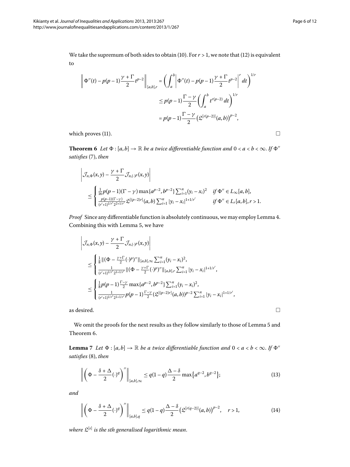<span id="page-6-0"></span>
$$
\left\| \Phi''(t) - p(p-1) \frac{\gamma + \Gamma}{2} t^{p-2} \right\|_{[a,b],r} = \left( \int_a^b \left| \Phi''(t) - p(p-1) \frac{\gamma + \Gamma}{2} t^{p-2} \right|^r dt \right)^{1/r}
$$
  

$$
\leq p(p-1) \frac{\Gamma - \gamma}{2} \left( \int_a^b t^{r(p-2)} dt \right)^{1/r}
$$
  

$$
= p(p-1) \frac{\Gamma - \gamma}{2} \left( \mathfrak{L}^{[r(p-2)]}(a,b) \right)^{p-2},
$$

which proves (11).  $\Box$ 

**Theorem 6** Let  $\Phi$  :  $[a, b] \to \mathbb{R}$  be a twice differentiable function and  $0 < a < b < \infty$ . If  $\Phi$ <sup>*''*</sup> *satisfies* [\(](#page-5-0)7), *then* 

$$
\left|\mathcal{J}_{n,\Phi}(x,y) - \frac{\gamma + \Gamma}{2} \mathcal{J}_{n,(\cdot)^p}(x,y)\right|
$$
  
\n
$$
\leq \begin{cases} \frac{1}{16} p(p-1)(\Gamma - \gamma) \max\{a^{p-2}, b^{p-2}\} \sum_{i=1}^n (y_i - x_i)^2 & \text{if } \Phi'' \in L_\infty[a,b], \\ \frac{p(p-1)(\Gamma - \gamma)}{(\gamma' + 1)^{1/\gamma'} 2^{2+1/\gamma'}} \mathcal{L}^{[(p-2)r]}(a,b) \sum_{i=1}^n |y_i - x_i|^{1+1/\gamma'} & \text{if } \Phi'' \in L_r[a,b], r > 1. \end{cases}
$$

*Proof* Since any differentiable function is absolutely continuous, we may employ Lemma 4. Combining this with Lemma 5[,](#page-5-5) we have

$$
\left|\mathcal{J}_{n,\Phi}(x,y) - \frac{\gamma + \Gamma}{2} \mathcal{J}_{n,(\cdot)^p}(x,y)\right|
$$
\n
$$
\leq \begin{cases} \frac{1}{8} ||(\Phi - \frac{\gamma + \Gamma}{2}(\cdot)^p)'||_{[a,b],\infty} \sum_{i=1}^n (y_i - x_i)^2, \\ \frac{1}{(r'+1)^{1/r'} 2^{1+1/r'}} ||(\Phi - \frac{\gamma + \Gamma}{2}(\cdot)^p)''||_{[a,b],r} \sum_{i=1}^n |y_i - x_i|^{1+1/r'}, \\ \frac{1}{8} p(p-1) \frac{\Gamma - \gamma}{2} \max\{a^{p-2}, b^{p-2}\} \sum_{i=1}^n (y_i - x_i)^2, \\ \frac{1}{(r'+1)^{1/r'} 2^{1+1/r'}} p(p-1) \frac{\Gamma - \gamma}{2} (\mathfrak{L}^{[(p-2)r]}(a,b))^{p-2} \sum_{i=1}^n |y_i - x_i|^{1+1/r'}, \end{cases}
$$

as desired.  $\Box$ 

We omit the proofs for the next results as they follow similarly to those of Lemma 5 and Theorem 6.

**Lemma** 7 Let  $\Phi$  :  $[a,b] \to \mathbb{R}$  be a twice differentiable function and  $0 < a < b < \infty$ . If  $\Phi$ <sup>*''*</sup> *satisfies* [\(](#page-5-6)8), *then* 

$$
\left\| \left( \Phi - \frac{\delta + \Delta}{2} (\cdot)^q \right)^n \right\|_{[a,b],\infty} \le q(1-q) \frac{\Delta - \delta}{2} \max \{ a^{q-2}, b^{q-2} \};\tag{13}
$$

*and*

$$
\left\| \left( \Phi - \frac{\delta + \Delta}{2} (\cdot)^q \right)^{\prime\prime} \right\|_{[a,b],q} \le q(1-q) \frac{\Delta - \delta}{2} \left( \mathfrak{L}^{[r(q-2)]}(a,b) \right)^{p-2}, \quad r > 1,
$$
 (14)

*where* L[*s*] *is the sth generalised logarithmic mean*.

 $\Box$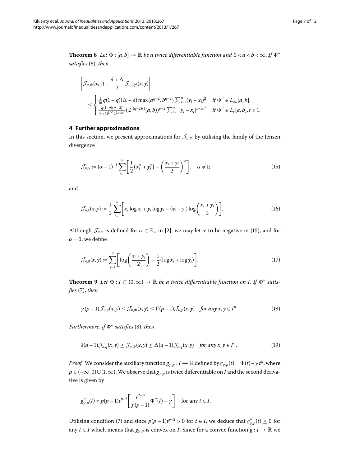<span id="page-7-0"></span>**Theorem 8** Let  $\Phi$  :  $[a,b] \to \mathbb{R}$  be a twice differentiable function and  $0 < a < b < \infty$ . If  $\Phi$ <sup>*''*</sup> *satisfies* [\(](#page-5-6)8), *then* 

<span id="page-7-1"></span>
$$
\left|\mathcal{J}_{n,\Phi}(x,y) - \frac{\delta + \Delta}{2} \mathcal{J}_{n,(\cdot)^q}(x,y)\right|
$$
  
\n
$$
\leq \begin{cases} \frac{1}{16}q(1-q)(\Delta - \delta) \max\{a^{q-2}, b^{q-2}\}\sum_{i=1}^n (y_i - x_i)^2 & \text{if } \Phi'' \in L_\infty[a,b], \\ \frac{q(1-q)(\Delta - \delta)}{(r'+1)^{1/r'}2^{2+1/r'}}(\mathfrak{L}^{[(q-2)r]}(a,b))^{p-2}\sum_{i=1}^n |y_i - x_i|^{1+1/r'} & \text{if } \Phi'' \in L_r[a,b], r > 1. \end{cases}
$$

#### **4 Further approximations**

In this section, we present approximations for  $\mathcal{J}_{n,\Phi}$  by utilising the family of the Jensen divergence

$$
\mathcal{J}_{n,\alpha} := (\alpha - 1)^{-1} \sum_{i=1}^{n} \left[ \frac{1}{2} \left( x_i^{\alpha} + y_i^{\alpha} \right) - \left( \frac{x_i + y_i}{2} \right)^{\alpha} \right], \quad \alpha \neq 1; \tag{15}
$$

and

$$
\mathcal{J}_{n,1}(x,y) := \frac{1}{2} \sum_{i=1}^{n} \left[ x_i \log x_i + y_i \log y_i - (x_i + y_i) \log \left( \frac{x_i + y_i}{2} \right) \right].
$$
 (16)

Although  $\mathcal{J}_{n,\alpha}$  is defined for  $\alpha \in \mathbb{R}_+$  in [2[\]](#page-12-3), we may let  $\alpha$  to be negative in (15[\)](#page-7-1), and for  $\alpha$  = 0, we define

<span id="page-7-2"></span>
$$
\mathcal{J}_{n,0}(x,y) := \sum_{i=1}^{n} \left[ \log \left( \frac{x_i + y_i}{2} \right) - \frac{1}{2} (\log x_i + \log y_i) \right].
$$
 (17)

**Theorem 9** Let  $\Phi: I \subset (0, \infty) \to \mathbb{R}$  be a twice differentiable function on I. If  $\Phi''$  satis*fies* [\(](#page-5-0)7), *then* 

<span id="page-7-3"></span>
$$
\gamma(p-1)\mathcal{J}_{n,p}(x,y) \leq \mathcal{J}_{n,\Phi}(x,y) \leq \Gamma(p-1)\mathcal{J}_{n,p}(x,y) \quad \text{for any } x, y \in I^n. \tag{18}
$$

 $Furthermore, if  $\Phi''$  satisfies (8), then$  $Furthermore, if  $\Phi''$  satisfies (8), then$  $Furthermore, if  $\Phi''$  satisfies (8), then$ 

$$
\delta(q-1)\mathcal{J}_{n,q}(x,y) \geq \mathcal{J}_{n,\Phi}(x,y) \geq \Delta(q-1)\mathcal{J}_{n,q}(x,y) \quad \text{for any } x,y \in I^n. \tag{19}
$$

*Proof* We consider the auxiliary function  $g_{\gamma,p}: I \to \mathbb{R}$  defined by  $g_{\gamma,p}(t) = \Phi(t) - \gamma t^p$ , where  $p \in (-\infty, 0) \cup (1, \infty)$ . We observe that  $g_{\gamma, p}$  is twice differentiable on *I* and the second derivative is given by

$$
g_{\gamma,p}''(t) = p(p-1)t^{p-2} \left[ \frac{t^{2-p}}{p(p-1)} \Phi''(t) - \gamma \right] \quad \text{for any } t \in I.
$$

Utilising condition [\(](#page-5-0)7) and since  $p(p-1)t^{p-2} > 0$  for  $t \in I$ , we deduce that  $g''_{\gamma, p}(t) \ge 0$  for any *t* ∈ *I* which means that  $g_{\gamma,p}$  is convex on *I*. Since for a convex function *g* : *I* → R we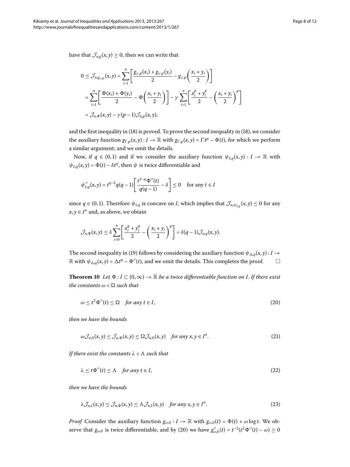have that  $\mathcal{J}_{n,g}(x, y) \geq 0$ , then we can write that

$$
0 \leq \mathcal{J}_{n,g_{\gamma,p}}(x,y) = \sum_{i=1}^{n} \left[ \frac{g_{\gamma,p}(x_i) + g_{\gamma,p}(y_i)}{2} - g_{\gamma,p} \left( \frac{x_i + y_i}{2} \right) \right]
$$
  
= 
$$
\sum_{i=1}^{n} \left[ \frac{\Phi(x_i) + \Phi(y_i)}{2} - \Phi \left( \frac{x_i + y_i}{2} \right) \right] - \gamma \sum_{i=1}^{n} \left[ \frac{x_i^p + y_i^p}{2} - \left( \frac{x_i + y_i}{2} \right)^p \right]
$$
  
= 
$$
\mathcal{J}_{n,\Phi}(x,y) - \gamma(p-1)\mathcal{J}_{n,p}(x,y),
$$

and the first inequality in  $(18)$  $(18)$  is proved. To prove the second inequality in  $(18)$ , we consider the auxiliary function  $g_{\Gamma,p}(x,y): I \to \mathbb{R}$  with  $g_{\Gamma,p}(x,y) = \Gamma t^p - \Phi(t)$ , for which we perform a similar argument; and we omit the details.

Now, if  $q \in (0,1)$  and if we consider the auxiliary function  $\psi_{\delta,q}(x, y) : I \to \mathbb{R}$  with  $\psi_{\delta,q}(x, y) = \Phi(t) - \delta t^q$ , then  $\psi$  is twice differentiable and

$$
\psi_{\delta,q}''(x,y) = t^{q-2}q(q-1)\left[\frac{t^{2-q}\Phi''(t)}{q(q-1)} - \delta\right] \le 0 \quad \text{for any } t \in I
$$

since  $q \in (0,1)$ . Therefore  $\psi_{\delta,q}$  is concave on *I*, which implies that  $\mathcal{J}_{n,\psi_{\delta,q}}(x,y) \leq 0$  for any *x*, *y* ∈  $I<sup>n</sup>$  and, as above, we obtain

<span id="page-8-0"></span>
$$
\mathcal{J}_{n,\Phi}(x,y) \leq \delta \sum_{i=0}^n \left[ \frac{x_i^q + y_i^q}{2} - \left( \frac{x_i + y_i}{2} \right)^q \right] = \delta(q-1) \mathcal{J}_{n,q}(x,y).
$$

The second inequality in [\(](#page-7-3)19) follows by considering the auxiliary function  $\psi_{\Delta,q}(x, y) : I \to I$  $\mathbb R$  with  $\psi_{\Delta,q}(x,y) = \Delta t^q - \Phi''(t)$ , and we omit the details. This completes the proof.  $\Box$  $\Box$ 

**Theorem 10** Let  $\Phi: I \subset (0, \infty) \to \mathbb{R}$  be a twice differentiable function on I. If there exist  $the\ constants\ \omega < \Omega\ such\ that$ 

<span id="page-8-2"></span><span id="page-8-1"></span>
$$
\omega \le t^2 \Phi''(t) \le \Omega \quad \text{for any } t \in I,
$$
\n<sup>(20)</sup>

*then we have the bounds*

$$
\omega \mathcal{J}_{n,0}(x,y) \leq \mathcal{J}_{n,\Phi}(x,y) \leq \Omega \mathcal{J}_{n,0}(x,y) \quad \text{for any } x, y \in I^n. \tag{21}
$$

*If there exist the constants λ* <  *such that*

<span id="page-8-3"></span>
$$
\lambda \le t \Phi''(t) \le \Lambda \quad \text{for any } t \in I,
$$
\n<sup>(22)</sup>

*then we have the bounds*

$$
\lambda \mathcal{J}_{n,1}(x,y) \leq \mathcal{J}_{n,\Phi}(x,y) \leq \Lambda \mathcal{J}_{n,1}(x,y) \quad \text{for any } x, y \in I^n. \tag{23}
$$

*Proof* Consider the auxiliary function  $g_{\omega,0} : I \to \mathbb{R}$  with  $g_{\omega,0}(t) = \Phi(t) + \omega \log t$ . We observe that  $g_{\omega,0}$  is twice differentiable, and by (20) we have  $g''_{\omega,0}(t) = t^{-2}(t^2 \Phi''(t) - \omega) \ge 0$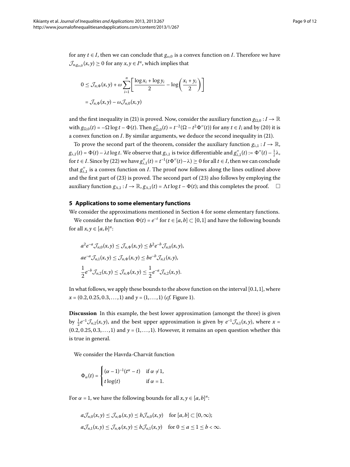for any *t* ∈ *I*, then we can conclude that  $g_{\omega,0}$  is a convex function on *I*. Therefore we have  $\mathcal{J}_{n,g_{\omega}0}(x,y) \geq 0$  for any  $x, y \in I^n$ , which implies that

$$
0 \leq \mathcal{J}_{n,\Phi}(x,y) + \omega \sum_{i=1}^{n} \left[ \frac{\log x_i + \log y_i}{2} - \log \left( \frac{x_i + y_i}{2} \right) \right]
$$
  
=  $\mathcal{J}_{n,\Phi}(x,y) - \omega \mathcal{J}_{n,0}(x,y)$ 

and the first inequality in [\(](#page-8-1)21) is proved. Now, consider the auxiliary function  $g_{\Omega,0}: I \to \mathbb{R}$ with  $g_{\Omega,0}(t) = -\Omega \log t - \Phi(t)$ . Then  $g''_{\Omega,0}(t) = t^{-2}(\Omega - t^2 \Phi''(t))$  for any  $t \in I$ ; and by (20) it is a convex function on *I*. By similar arguments, we deduce the second inequality in [\(](#page-8-1)21).

<span id="page-9-0"></span>To prove the second part of the theorem, consider the auxiliary function  $g_{\lambda,1}: I \to \mathbb{R}$ ,  $g_{\lambda,1}(t) = \Phi(t) - \lambda t \log t$ . We observe that  $g_{\lambda,1}$  is twice differentiable and  $g_{\lambda,1}''(t) := \Phi''(t) - \frac{1}{t} \lambda$ , for  $t \in I$ . Since by [\(](#page-8-2)22) we have  $g''_{\lambda,1}(t) = t^{-1}(t\Phi''(t)-\lambda) \ge 0$  for all  $t \in I$ , then we can conclude that  $g_{\lambda,1}^{\prime\prime}$  is a convex function on *I*. The proof now follows along the lines outlined above and the first part of  $(23)$  $(23)$  is proved. The second part of  $(23)$  also follows by employing the auxiliary function  $g_{\Lambda,1}: I \to \mathbb{R}$ ,  $g_{\Lambda,1}(t) = \Lambda t \log t - \Phi(t)$ ; and this completes the proof.  $\Box$ 

#### **5 Applications to some elementary functions**

We consider the approximations mentioned in Section 4 for some elementary functions.

We consider the function  $\Phi(t) = e^{-t}$  for  $t \in [a, b] \subset [0, 1]$  and have the following bounds for all  $x, y \in [a, b]^n$ :

$$
a^{2}e^{-a}\mathcal{J}_{n,0}(x,y) \leq \mathcal{J}_{n,\Phi}(x,y) \leq b^{2}e^{-b}\mathcal{J}_{n,0}(x,y),
$$
  
\n
$$
ae^{-a}\mathcal{J}_{n,1}(x,y) \leq \mathcal{J}_{n,\Phi}(x,y) \leq be^{-b}\mathcal{J}_{n,1}(x,y),
$$
  
\n
$$
\frac{1}{2}e^{-b}\mathcal{J}_{n,2}(x,y) \leq \mathcal{J}_{n,\Phi}(x,y) \leq \frac{1}{2}e^{-a}\mathcal{J}_{n,2}(x,y).
$$

In what follows, we apply these bounds to the above function on the interval  $[0.1, 1]$ , where  $x = (0.2, 0.25, 0.3, \ldots, 1)$  and  $y = (1, \ldots, 1)$  (*cf.* Figure 1).

**Discussion** In this example, the best lower approximation (amongst the three) is given by  $\frac{1}{2}e^{-1}\mathcal{J}_{n,2}(x,y)$ , and the best upper approximation is given by  $e^{-1}\mathcal{J}_{n,1}(x,y)$ , where  $x =$  $(0.2, 0.25, 0.3, \ldots, 1)$  and  $y = (1, \ldots, 1)$ . However, it remains an open question whether this is true in general.

We consider the Havrda-Charvát function

$$
\Phi_{\alpha}(t) = \begin{cases} (\alpha - 1)^{-1} (t^{\alpha} - t) & \text{if } \alpha \neq 1, \\ t \log(t) & \text{if } \alpha = 1. \end{cases}
$$

For  $\alpha = 1$ , we have the following bounds for all  $x, y \in [a, b]^n$ :

$$
a\mathcal{J}_{n,0}(x,y) \leq \mathcal{J}_{n,\Phi}(x,y) \leq b\mathcal{J}_{n,0}(x,y) \quad \text{for } [a,b] \subset [0,\infty);
$$
  

$$
a\mathcal{J}_{n,1}(x,y) \leq \mathcal{J}_{n,\Phi}(x,y) \leq b\mathcal{J}_{n,1}(x,y) \quad \text{for } 0 \leq a \leq 1 \leq b < \infty.
$$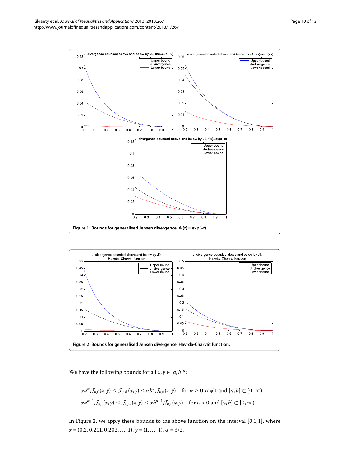

<span id="page-10-1"></span><span id="page-10-0"></span>

We have the following bounds for all  $x, y \in [a, b]^n$ :

$$
\alpha a^{\alpha} \mathcal{J}_{n,0}(x,y) \leq \mathcal{J}_{n,\Phi}(x,y) \leq \alpha b^{\alpha} \mathcal{J}_{n,0}(x,y) \quad \text{for } \alpha \geq 0, \alpha \neq 1 \text{ and } [a,b] \subset [0,\infty),
$$
  

$$
\alpha a^{\alpha-1} \mathcal{J}_{n,1}(x,y) \leq \mathcal{J}_{n,\Phi}(x,y) \leq \alpha b^{\alpha-1} \mathcal{J}_{n,1}(x,y) \quad \text{for } \alpha > 0 \text{ and } [a,b] \subset [0,\infty).
$$

In Figure 2, we apply these bounds to the above function on the interval  $[0.1, 1]$ , where  $x = (0.2, 0.201, 0.202, \ldots, 1), y = (1, \ldots, 1), \alpha = 3/2.$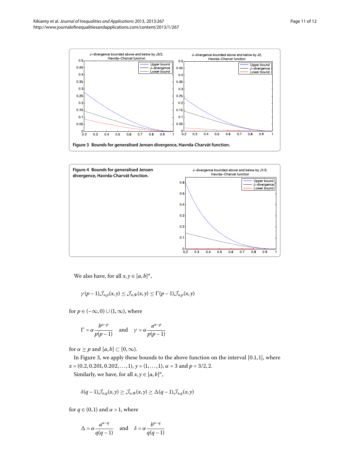<span id="page-11-0"></span>

<span id="page-11-1"></span>

We also have, for all  $x, y \in [a, b]^n$ ,

$$
\gamma(p-1)\mathcal{J}_{n,p}(x,y) \leq \mathcal{J}_{n,\Phi}(x,y) \leq \Gamma(p-1)\mathcal{J}_{n,p}(x,y)
$$

for  $p \in (-\infty, 0) \cup (1, \infty)$ , where

$$
\Gamma = \alpha \frac{b^{\alpha - p}}{p(p-1)} \quad \text{and} \quad \gamma = \alpha \frac{a^{\alpha - p}}{p(p-1)}
$$

for  $\alpha \geq p$  and  $[a, b] \subset [0, \infty)$ .

In Figure 3, we apply these bounds to the above function on the interval  $[0.1, 1]$ , where  $x = (0.2, 0.201, 0.202, \ldots, 1), y = (1, \ldots, 1), \alpha = 3$  and  $p = 3/2, 2$ .

Similarly, we have, for all  $x, y \in [a, b]^n$ ,

$$
\delta(q-1)\mathcal{J}_{n,q}(x,y) \geq \mathcal{J}_{n,\Phi}(x,y) \geq \Delta(q-1)\mathcal{J}_{n,q}(x,y)
$$

for  $q \in (0,1)$  and  $\alpha > 1$ , where

$$
\Delta = \alpha \frac{a^{\alpha-q}}{q(q-1)} \quad \text{and} \quad \delta = \alpha \frac{b^{\alpha-q}}{q(q-1)}
$$